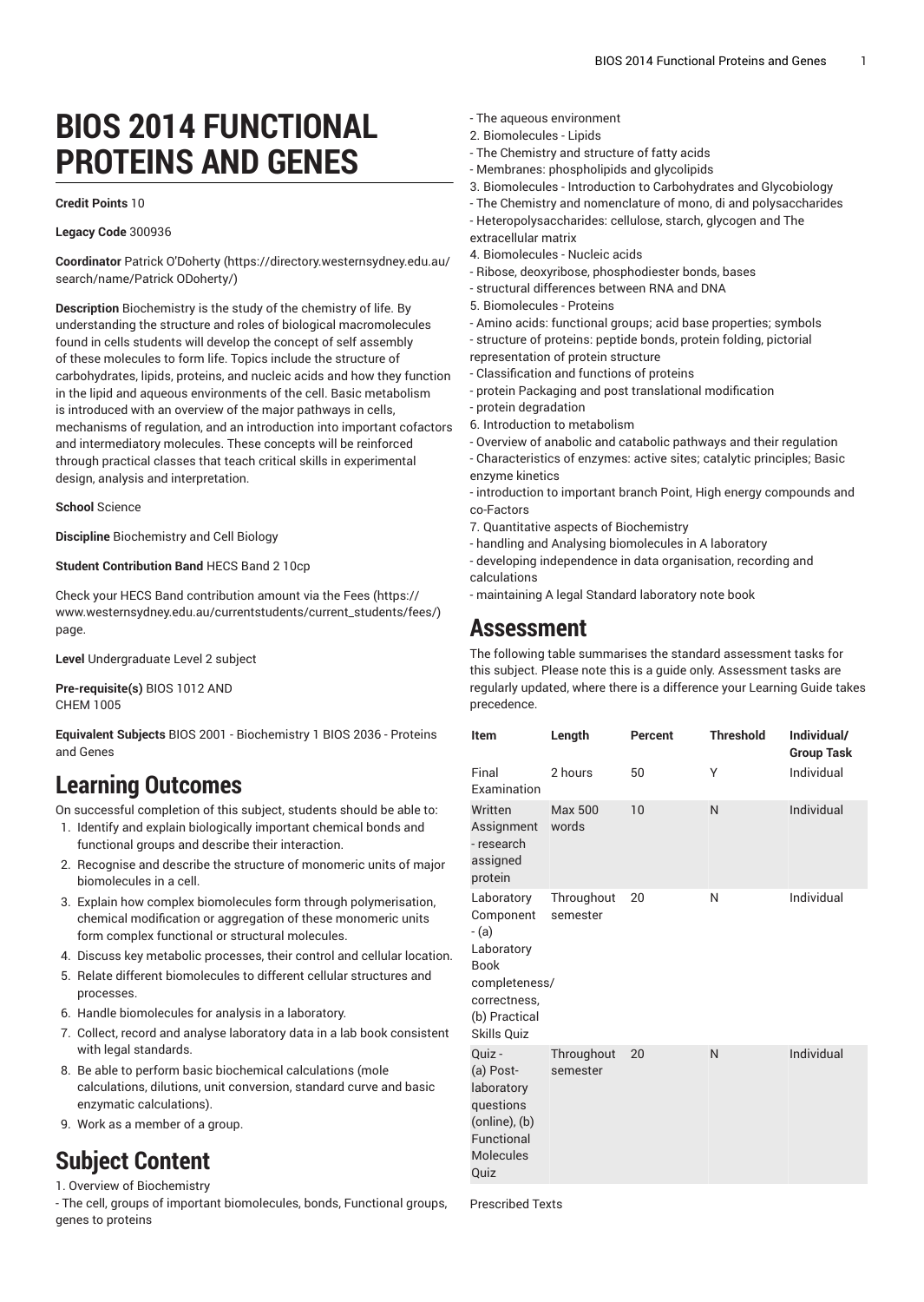# **BIOS 2014 FUNCTIONAL PROTEINS AND GENES**

#### **Credit Points** 10

#### **Legacy Code** 300936

**Coordinator** Patrick [O'Doherty \(https://directory.westernsydney.edu.au/](https://directory.westernsydney.edu.au/search/name/Patrick ODoherty/) [search/name/Patrick](https://directory.westernsydney.edu.au/search/name/Patrick ODoherty/) ODoherty/)

**Description** Biochemistry is the study of the chemistry of life. By understanding the structure and roles of biological macromolecules found in cells students will develop the concept of self assembly of these molecules to form life. Topics include the structure of carbohydrates, lipids, proteins, and nucleic acids and how they function in the lipid and aqueous environments of the cell. Basic metabolism is introduced with an overview of the major pathways in cells, mechanisms of regulation, and an introduction into important cofactors and intermediatory molecules. These concepts will be reinforced through practical classes that teach critical skills in experimental design, analysis and interpretation.

#### **School** Science

**Discipline** Biochemistry and Cell Biology

#### **Student Contribution Band** HECS Band 2 10cp

Check your HECS Band contribution amount via the [Fees \(https://](https://www.westernsydney.edu.au/currentstudents/current_students/fees/) [www.westernsydney.edu.au/currentstudents/current\\_students/fees/\)](https://www.westernsydney.edu.au/currentstudents/current_students/fees/) page.

**Level** Undergraduate Level 2 subject

**Pre-requisite(s)** [BIOS 1012](/search/?P=BIOS%201012) AND [CHEM 1005](/search/?P=CHEM%201005)

**Equivalent Subjects** BIOS 2001 - Biochemistry 1 BIOS 2036 - Proteins and Genes

### **Learning Outcomes**

On successful completion of this subject, students should be able to:

- 1. Identify and explain biologically important chemical bonds and functional groups and describe their interaction.
- 2. Recognise and describe the structure of monomeric units of major biomolecules in a cell.
- 3. Explain how complex biomolecules form through polymerisation, chemical modification or aggregation of these monomeric units form complex functional or structural molecules.
- 4. Discuss key metabolic processes, their control and cellular location.
- 5. Relate different biomolecules to different cellular structures and processes.
- 6. Handle biomolecules for analysis in a laboratory.
- 7. Collect, record and analyse laboratory data in a lab book consistent with legal standards.
- 8. Be able to perform basic biochemical calculations (mole calculations, dilutions, unit conversion, standard curve and basic enzymatic calculations).
- 9. Work as a member of a group.

## **Subject Content**

1. Overview of Biochemistry

- The cell, groups of important biomolecules, bonds, Functional groups, genes to proteins

- The aqueous environment
- 2. Biomolecules Lipids
- The Chemistry and structure of fatty acids
- Membranes: phospholipids and glycolipids
- 3. Biomolecules Introduction to Carbohydrates and Glycobiology
- The Chemistry and nomenclature of mono, di and polysaccharides
- Heteropolysaccharides: cellulose, starch, glycogen and The extracellular matrix
- 4. Biomolecules Nucleic acids
- Ribose, deoxyribose, phosphodiester bonds, bases
- structural differences between RNA and DNA
- 5. Biomolecules Proteins
- Amino acids: functional groups; acid base properties; symbols - structure of proteins: peptide bonds, protein folding, pictorial
- representation of protein structure
- Classification and functions of proteins
- protein Packaging and post translational modification
- protein degradation
- 6. Introduction to metabolism
- Overview of anabolic and catabolic pathways and their regulation - Characteristics of enzymes: active sites; catalytic principles; Basic enzyme kinetics
- introduction to important branch Point, High energy compounds and co-Factors
- 7. Quantitative aspects of Biochemistry
- handling and Analysing biomolecules in A laboratory

- developing independence in data organisation, recording and calculations

- maintaining A legal Standard laboratory note book

### **Assessment**

The following table summarises the standard assessment tasks for this subject. Please note this is a guide only. Assessment tasks are regularly updated, where there is a difference your Learning Guide takes precedence.

| Item                                                                                                                           | Length                 | Percent | <b>Threshold</b> | Individual/<br><b>Group Task</b> |
|--------------------------------------------------------------------------------------------------------------------------------|------------------------|---------|------------------|----------------------------------|
| Final<br>Examination                                                                                                           | 2 hours                | 50      | Υ                | Individual                       |
| Written<br>Assignment<br>- research<br>assigned<br>protein                                                                     | Max 500<br>words       | 10      | N                | Individual                       |
| Laboratory<br>Component<br>- (a)<br>Laboratory<br><b>Book</b><br>completeness/<br>correctness,<br>(b) Practical<br>Skills Quiz | Throughout<br>semester | 20      | N                | Individual                       |
| Quiz -<br>(a) Post-<br>laboratory<br>questions<br>(online), (b)<br>Functional<br><b>Molecules</b><br>Quiz                      | Throughout<br>semester | 20      | N                | Individual                       |

Prescribed Texts